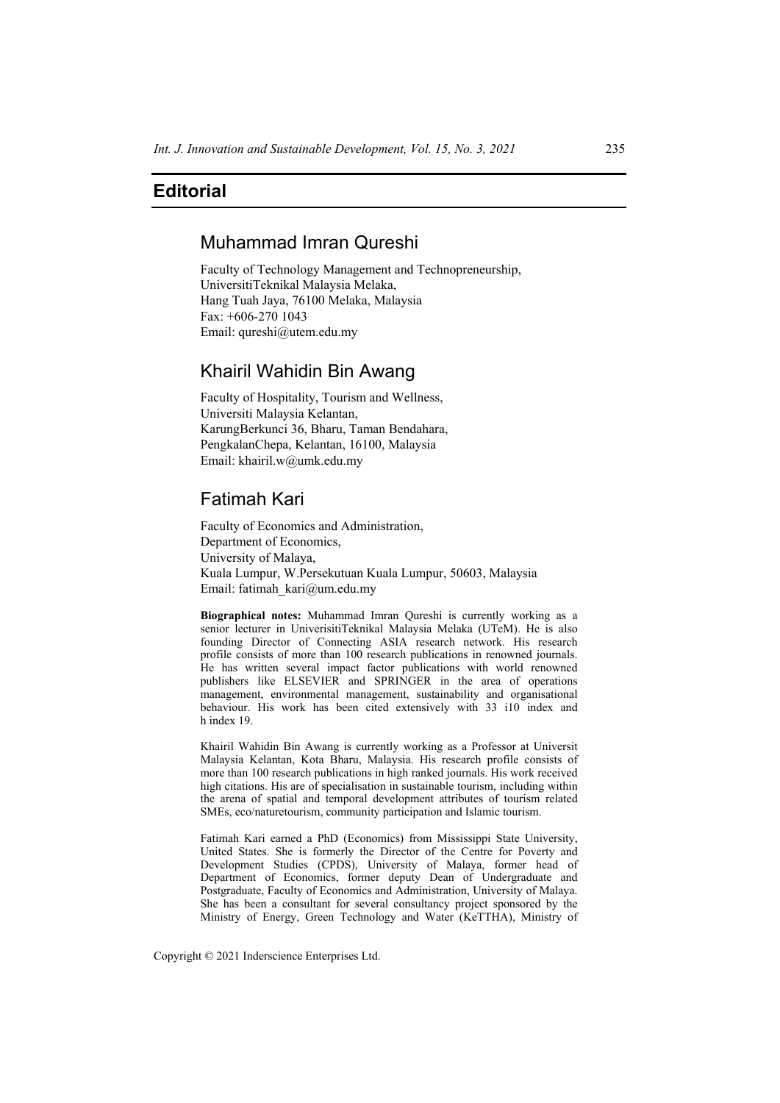# **Editorial**

# Muhammad Imran Qureshi

Faculty of Technology Management and Technopreneurship, UniversitiTeknikal Malaysia Melaka, Hang Tuah Jaya, 76100 Melaka, Malaysia  $Fax \cdot +606 - 2701043$ Email: qureshi@utem.edu.my

### Khairil Wahidin Bin Awang

Faculty of Hospitality, Tourism and Wellness, Universiti Malaysia Kelantan, KarungBerkunci 36, Bharu, Taman Bendahara, PengkalanChepa, Kelantan, 16100, Malaysia Email: khairil.w@umk.edu.my

# Fatimah Kari

Faculty of Economics and Administration, Department of Economics, University of Malaya, Kuala Lumpur, W.Persekutuan Kuala Lumpur, 50603, Malaysia Email: fatimah\_kari@um.edu.my

**Biographical notes:** Muhammad Imran Qureshi is currently working as a senior lecturer in UniverisitiTeknikal Malaysia Melaka (UTeM). He is also founding Director of Connecting ASIA research network. His research profile consists of more than 100 research publications in renowned journals. He has written several impact factor publications with world renowned publishers like ELSEVIER and SPRINGER in the area of operations management, environmental management, sustainability and organisational behaviour. His work has been cited extensively with 33 i10 index and h index 19.

Khairil Wahidin Bin Awang is currently working as a Professor at Universit Malaysia Kelantan, Kota Bharu, Malaysia. His research profile consists of more than 100 research publications in high ranked journals. His work received high citations. His are of specialisation in sustainable tourism, including within the arena of spatial and temporal development attributes of tourism related SMEs, eco/naturetourism, community participation and Islamic tourism.

Fatimah Kari earned a PhD (Economics) from Mississippi State University, United States. She is formerly the Director of the Centre for Poverty and Development Studies (CPDS), University of Malaya, former head of Department of Economics, former deputy Dean of Undergraduate and Postgraduate, Faculty of Economics and Administration, University of Malaya. She has been a consultant for several consultancy project sponsored by the Ministry of Energy, Green Technology and Water (KeTTHA), Ministry of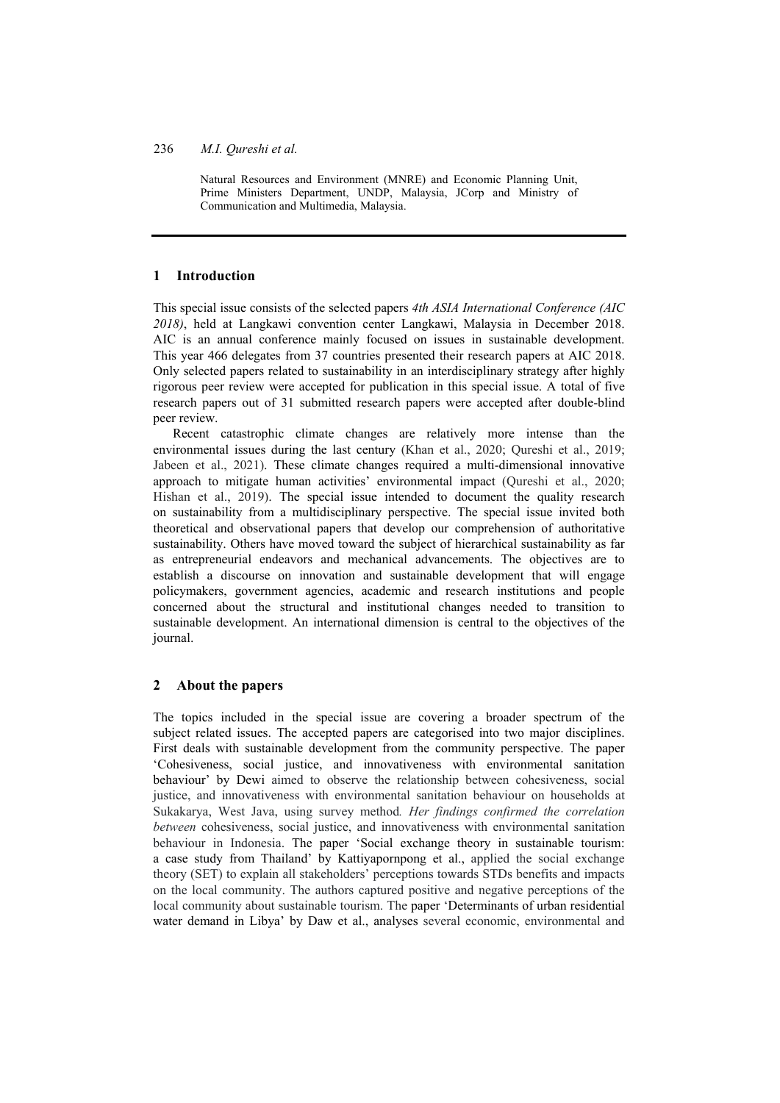Natural Resources and Environment (MNRE) and Economic Planning Unit, Prime Ministers Department, UNDP, Malaysia, JCorp and Ministry of Communication and Multimedia, Malaysia.

### **1 Introduction**

This special issue consists of the selected papers *4th ASIA International Conference (AIC 2018)*, held at Langkawi convention center Langkawi, Malaysia in December 2018. AIC is an annual conference mainly focused on issues in sustainable development. This year 466 delegates from 37 countries presented their research papers at AIC 2018. Only selected papers related to sustainability in an interdisciplinary strategy after highly rigorous peer review were accepted for publication in this special issue. A total of five research papers out of 31 submitted research papers were accepted after double-blind peer review.

Recent catastrophic climate changes are relatively more intense than the environmental issues during the last century (Khan et al., 2020; Qureshi et al., 2019; Jabeen et al., 2021). These climate changes required a multi-dimensional innovative approach to mitigate human activities' environmental impact (Qureshi et al., 2020; Hishan et al., 2019). The special issue intended to document the quality research on sustainability from a multidisciplinary perspective. The special issue invited both theoretical and observational papers that develop our comprehension of authoritative sustainability. Others have moved toward the subject of hierarchical sustainability as far as entrepreneurial endeavors and mechanical advancements. The objectives are to establish a discourse on innovation and sustainable development that will engage policymakers, government agencies, academic and research institutions and people concerned about the structural and institutional changes needed to transition to sustainable development. An international dimension is central to the objectives of the journal.

### **2 About the papers**

The topics included in the special issue are covering a broader spectrum of the subject related issues. The accepted papers are categorised into two major disciplines. First deals with sustainable development from the community perspective. The paper 'Cohesiveness, social justice, and innovativeness with environmental sanitation behaviour' by Dewi aimed to observe the relationship between cohesiveness, social justice, and innovativeness with environmental sanitation behaviour on households at Sukakarya, West Java, using survey method*. Her findings confirmed the correlation between* cohesiveness, social justice, and innovativeness with environmental sanitation behaviour in Indonesia. The paper 'Social exchange theory in sustainable tourism: a case study from Thailand' by Kattiyapornpong et al., applied the social exchange theory (SET) to explain all stakeholders' perceptions towards STDs benefits and impacts on the local community. The authors captured positive and negative perceptions of the local community about sustainable tourism. The paper 'Determinants of urban residential water demand in Libya' by Daw et al., analyses several economic, environmental and